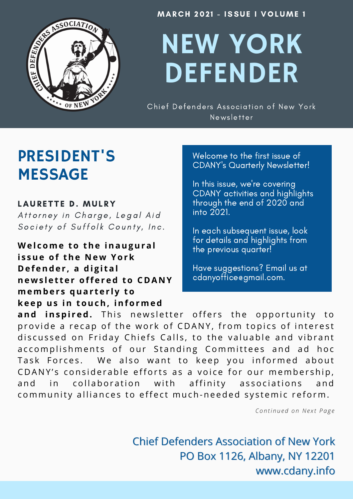

**MARCH 2021 - ISSUE I VOLUME 1** 

# NEW YORK DEFENDER

Chief Defenders Association of New York Newsletter

## PRESIDENT'S MESSAGE

#### LAURETTE D. MULRY

Attorney in Charge, Legal Aid Society of Suffolk County, Inc.

**We l come to the inaugural i s sue of the N e w York D e f ende r , a di g i tal ne w s l e t t e r off e r ed to C D A N Y members quarterly to ke ep us in touch, informed**

Welcome to the first issue of CDANY's Quarterly Newsletter!

In this issue, we're covering CDANY activities and highlights through the end of 2020 and into 2021.

In each subsequent issue, look for details and highlights from the previous quarter!

Have suggestions? Email us at cdanyoffice@gmail.com.

and inspired. This newsletter offers the opportunity to provide a recap of the work of CDANY, from topics of interest discussed on Friday Chiefs Calls, to the valuable and vibrant accomplishments of our Standing Committees and ad hoc Task Forces. We also want to keep you informed about CDANY's considerable efforts as a voice for our membership, and in collaboration with affinity associations and community alliances to effect much-needed systemic reform.

*C o n t i n u e d o n Ne x t P a g e*

Chief Defenders Association of New York PO Box 1126, Albany, NY 12201 www.cdany.info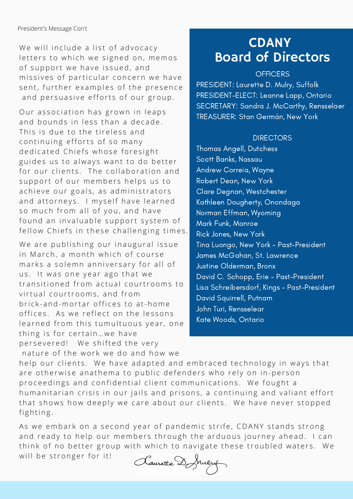We will include a list of advocacy letters to which we signed on, memos of support we have issued, and missives of particular concern we have sent, further examples of the presence and persuasive efforts of our group.

Our association has grown in leaps and bounds in less than a decade This is due to the tireless and continuing efforts of so many dedicated Chiefs whose foresight guides us to always want to do better for our clients. The collaboration and support of our members helps us to a chieve our goals, as administrators and attorneys. I myself have learned so much from all of you, and have found an invaluable support system of fellow Chiefs in these challenging times.

We are publishing our inaugural issue in March, a month which of course marks a solemn anniversary for all of us. It was one year ago that we transitioned from actual courtrooms to virtual courtrooms, and from brick-and-mortar offices to at-home offices. As we reflect on the lessons learned from this tumultuous year, one thing is for certain ... we have persevered! We shifted the very nature of the work we do and how we

### **CDANY** Board of Directors

#### **OFFICERS**

PRESIDENT: Laurette D. Mulry, Suffolk PRESIDENT-ELECT: Leanne Lapp, Ontario SECRETARY: Sandra J.McCarthy, Rensselaer TREASURER: Stan Germán, New York

#### **DIRECTORS**

Thomas Angell, Dutchess Scott Banks, Nassau Andrew Correia, Wayne Robert Dean, New York Clare Degnan, Westchester Kathleen Dougherty, Onondaga Norman Effman, Wyoming Mark Funk, Monroe Rick Jones, New York Tina Luongo, New York - Past-President James McGahan, St. Lawrence Justine Olderman, Bronx David C. Schopp, Erie - Past-President Lisa Schreibersdorf, Kings - Past-President David Squirrell, Putnam John Turi, Rensselear Kate Woods, Ontario

help our clients. We have adapted and embraced technology in ways that are otherwise anathema to public defenders who rely on in-person proceedings and confidential client communications. We fought a humanitarian crisis in our jails and prisons, a continuing and valiant effort that shows how deeply we care about our clients. We have never stopped fighting.

As we embark on a second year of pandemic strife, CDANY stands strong and ready to help our members through the arduous journey ahead. I can think of no better group with which to navigate these troubled waters. We will be stronger for it!

Claurette Donnezy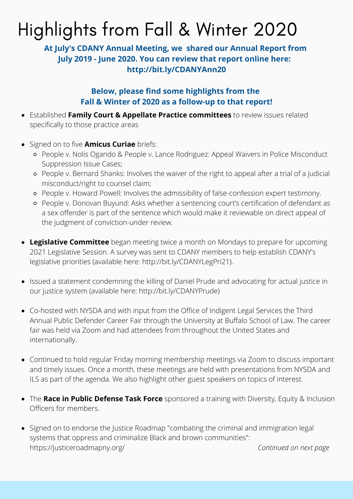## Highlights from Fall & Winter 2020

### CDANY **At July's CDANY Annual Meeting, we shared our Annual Report from** Board of Directors **July 2019 - June 2020. You can review that report online here: http://bit.ly/CDANYAnn20**

#### **Below, please find some highlights from the Fall & Winter of 2020 as a follow-up to that report!**

- Established **Family Court & Appellate Practice committees** to review issues related specifically to those practice areas
- Signed on to five **Amicus Curiae** briefs:
	- People v. Nolis Ogando & People v. Lance Rodriguez: Appeal Waivers in Police Misconduct Suppression Issue Cases;
	- People v. Bernard Shanks: Involves the waiver of the right to appeal after a trial of a judicial misconduct/right to counsel claim;
	- People v. Howard Powell: Involves the admissibility of false-confession expert testimony.
	- People v. Donovan Buyund: Asks whether a sentencing court's certification of defendant as a sex offender is part of the sentence which would make it reviewable on direct appeal of the judgment of conviction-under review.
- **Legislative Committee** began meeting twice a month on Mondays to prepare for upcoming 2021 Legislative Session. A survey was sent to CDANY members to help establish CDANY's legislative priorities (available here: http://bit.ly/CDANYLegPri21).
- Issued a statement condemning the killing of Daniel Prude and advocating for actual justice in our justice system (available here: http://bit.ly/CDANYPrude)
- Co-hosted with NYSDA and with input from the Office of Indigent Legal Services the Third Annual Public Defender Career Fair through the University at Buffalo School of Law. The career fair was held via Zoom and had attendees from throughout the United States and internationally.
- Continued to hold regular Friday morning membership meetings via Zoom to discuss important and timely issues. Once a month, these meetings are held with presentations from NYSDA and ILS as part of the agenda. We also highlight other guest speakers on topics of interest.
- The **Race in Public Defense Task Force** sponsored a training with Diversity, Equity & Inclusion Officers for members.
- Signed on to endorse the Justice Roadmap "combating the criminal and immigration legal systems that oppress and criminalize Black and brown communities": <https://justiceroadmapny.org/>*Continued on next page*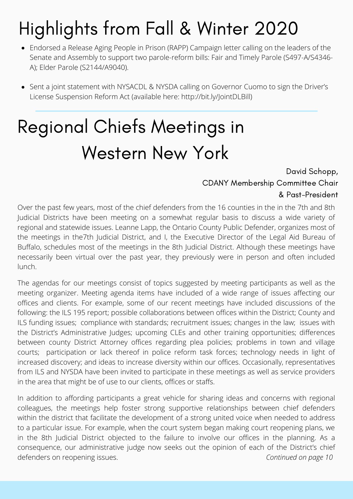## Highlights from Fall & Winter 2020

- Endorsed a Release Aging People in Prison (RAPP) Campaign letter calling on the leaders of the Senate and Assembly to support two parole-reform bills: Fair and Timely Parole (S497-A/S4346-A); Elder Parole (S2144/A9040).
- Sent a joint statement with NYSACDL & NYSDA calling on Governor Cuomo to sign the Driver's License Suspension Reform Act (available here: http://bit.ly/JointDLBill)

## Regional Chiefs Meetings in Western New York

#### David Schopp, CDANY Membership Committee Chair & Past-President

Over the past few years, most of the chief defenders from the 16 counties in the in the 7th and 8th Judicial Districts have been meeting on a somewhat regular basis to discuss a wide variety of regional and statewide issues. Leanne Lapp, the Ontario County Public Defender, organizes most of the meetings in the7th Judicial District, and I, the Executive Director of the Legal Aid Bureau of Buffalo, schedules most of the meetings in the 8th Judicial District. Although these meetings have necessarily been virtual over the past year, they previously were in person and often included lunch.

The agendas for our meetings consist of topics suggested by meeting participants as well as the meeting organizer. Meeting agenda items have included of a wide range of issues affecting our offices and clients. For example, some of our recent meetings have included discussions of the following: the ILS 195 report; possible collaborations between offices within the District; County and ILS funding issues; compliance with standards; recruitment issues; changes in the law; issues with the District's Administrative Judges; upcoming CLEs and other training opportunities; differences between county District Attorney offices regarding plea policies; problems in town and village courts; participation or lack thereof in police reform task forces; technology needs in light of increased discovery; and ideas to increase diversity within our offices. Occasionally, representatives from ILS and NYSDA have been invited to participate in these meetings as well as service providers in the area that might be of use to our clients, offices or staffs.

In addition to affording participants a great vehicle for sharing ideas and concerns with regional colleagues, the meetings help foster strong supportive relationships between chief defenders within the district that facilitate the development of a strong united voice when needed to address to a particular issue. For example, when the court system began making court reopening plans, we in the 8th Judicial District objected to the failure to involve our offices in the planning. As a consequence, our administrative judge now seeks out the opinion of each of the District's chief defenders on reopening issues. *Continued on page 10*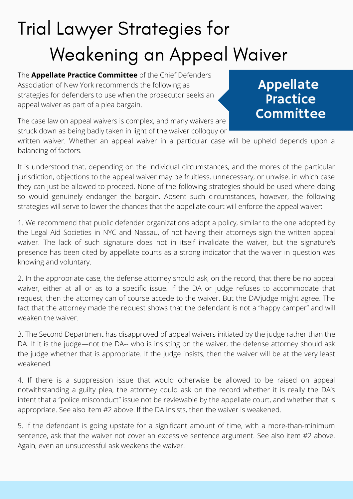## Trial Lawyer Strategies for Weakening an Appeal Waiver

The **Appellate Practice Committee** of the Chief Defenders Association of New York recommends the following as strategies for defenders to use when the prosecutor seeks an appeal waiver as part of a plea bargain.

Appellate **Practice Committee** 

The case law on appeal waivers is complex, and many waivers are struck down as being badly taken in light of the waiver colloquy or

written waiver. Whether an appeal waiver in a particular case will be upheld depends upon a balancing of factors.

It is understood that, depending on the individual circumstances, and the mores of the particular jurisdiction, objections to the appeal waiver may be fruitless, unnecessary, or unwise, in which case they can just be allowed to proceed. None of the following strategies should be used where doing so would genuinely endanger the bargain. Absent such circumstances, however, the following strategies will serve to lower the chances that the appellate court will enforce the appeal waiver:

1. We recommend that public defender organizations adopt a policy, similar to the one adopted by the Legal Aid Societies in NYC and Nassau, of not having their attorneys sign the written appeal waiver. The lack of such signature does not in itself invalidate the waiver, but the signature's presence has been cited by appellate courts as a strong indicator that the waiver in question was knowing and voluntary.

2. In the appropriate case, the defense attorney should ask, on the record, that there be no appeal waiver, either at all or as to a specific issue. If the DA or judge refuses to accommodate that request, then the attorney can of course accede to the waiver. But the DA/judge might agree. The fact that the attorney made the request shows that the defendant is not a "happy camper" and will weaken the waiver

3. The Second Department has disapproved of appeal waivers initiated by the judge rather than the DA. If it is the judge—not the DA-- who is insisting on the waiver, the defense attorney should ask the judge whether that is appropriate. If the judge insists, then the waiver will be at the very least weakened.

4. If there is a suppression issue that would otherwise be allowed to be raised on appeal notwithstanding a guilty plea, the attorney could ask on the record whether it is really the DA's intent that a "police misconduct" issue not be reviewable by the appellate court, and whether that is appropriate. See also item #2 above. If the DA insists, then the waiver is weakened.

5. If the defendant is going upstate for a significant amount of time, with a more-than-minimum sentence, ask that the waiver not cover an excessive sentence argument. See also item #2 above. Again, even an unsuccessful ask weakens the waiver.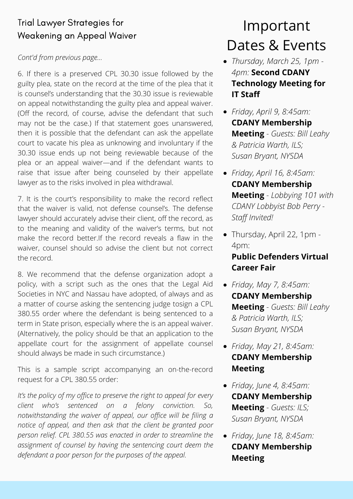### Trial Lawyer Strategies for Weakening an Appeal Waiver

#### *Cont'd from previous page...*

6. If there is a preserved CPL 30.30 issue followed by the guilty plea, state on the record at the time of the plea that it is counsel's understanding that the 30.30 issue is reviewable on appeal notwithstanding the guilty plea and appeal waiver. (Off the record, of course, advise the defendant that such may not be the case.) If that statement goes unanswered, then it is possible that the defendant can ask the appellate court to vacate his plea as unknowing and involuntary if the 30.30 issue ends up not being reviewable because of the plea or an appeal waiver—and if the defendant wants to raise that issue after being counseled by their appellate lawyer as to the risks involved in plea withdrawal.

7. It is the court's responsibility to make the record reflect that the waiver is valid, not defense counsel's. The defense lawyer should accurately advise their client, off the record, as to the meaning and validity of the waiver's terms, but not make the record better.If the record reveals a flaw in the waiver, counsel should so advise the client but not correct the record.

8. We recommend that the defense organization adopt a policy, with a script such as the ones that the Legal Aid Societies in NYC and Nassau have adopted, of always and as a matter of course asking the sentencing judge tosign a CPL 380.55 order where the defendant is being sentenced to a term in State prison, especially where the is an appeal waiver. (Alternatively, the policy should be that an application to the appellate court for the assignment of appellate counsel should always be made in such circumstance.)

This is a sample script accompanying an on-the-record request for a CPL 380.55 order:

*It's the policy of my office to preserve the right to appeal for every client who's sentenced on a felony conviction. So, notwithstanding the waiver of appeal, our office will be filing a notice of appeal, and then ask that the client be granted poor person relief. CPL 380.55 was enacted in order to streamline the assignment of counsel by having the sentencing court deem the defendant a poor person for the purposes of the appeal.*

## Dates & Events Important

- Board of Directors *Thursday, March 25, 1pm - 4pm:* **Second CDANY Technology Meeting for IT Staff**
	- *Friday, April 9, 8:45am:* **CDANY Membership Meeting** - *Guests: Bill Leahy & Patricia Warth, ILS; Susan Bryant, NYSDA*
	- *Friday, April 16, 8:45am:* **CDANY Membership Meeting** - *Lobbying 101 with CDANY Lobbyist Bob Perry - Staff Invited!*
	- Thursday, April 22, 1pm 4pm:

#### **Public Defenders Virtual Career Fair**

- *Friday, May 7, 8:45am:* **CDANY Membership Meeting** - *Guests: Bill Leahy & Patricia Warth, ILS; Susan Bryant, NYSDA*
- *Friday, May 21, 8:45am:* **CDANY Membership Meeting**
- *Friday, June 4, 8:45am:* **CDANY Membership Meeting** - *Guests: ILS; Susan Bryant, NYSDA*
- *Friday, June 18, 8:45am:* **CDANY Membership Meeting**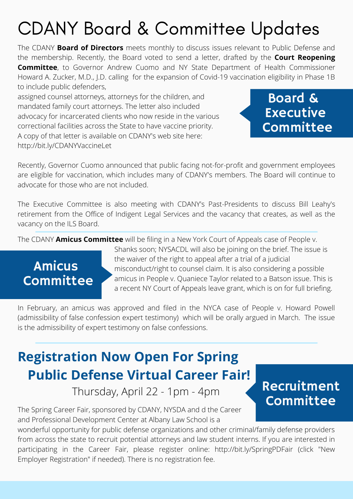The CDANY **Board of Directors** meets monthly to discuss issues relevant to Public Defense and the membership. Recently, the Board voted to send a letter, drafted by the **Court Reopening Committee**, to Governor Andrew Cuomo and NY State Department of Health Commissioner Howard A. Zucker, M.D., J.D. calling for the expansion of Covid-19 vaccination eligibility in Phase 1B to include public defenders,

assigned counsel attorneys, attorneys for the children, and mandated family court attorneys. The letter also included advocacy for incarcerated clients who now reside in the various correctional facilities across the State to have vaccine priority. A copy of that letter is available on CDANY's web site here: http://bit.ly/CDANYVaccineLet



Recently, Governor Cuomo announced that public facing not-for-profit and government employees are eligible for vaccination, which includes many of CDANY's members. The Board will continue to advocate for those who are not included.

The Executive Committee is also meeting with CDANY's Past-Presidents to discuss Bill Leahy's retirement from the Office of Indigent Legal Services and the vacancy that creates, as well as the vacancy on the ILS Board.

The CDANY **Amicus Committee** will be filing in a New York Court of Appeals case of People v.

## Amicus Committee

Shanks soon; NYSACDL will also be joining on the brief. The issue is the waiver of the right to appeal after a trial of a judicial misconduct/right to counsel claim. It is also considering a possible amicus in People v. Quaniece Taylor related to a Batson issue. This is a recent NY Court of Appeals leave grant, which is on for full briefing.

In February, an amicus was approved and filed in the NYCA case of People v. Howard Powell (admissibility of false confession expert testimony) which will be orally argued in March. The issue is the admissibility of expert testimony on false confessions.

## **Registration Now Open For Spring Public Defense Virtual Career Fair!**

Thursday, April 22 - 1pm - 4pm

The Spring Career Fair, sponsored by CDANY, NYSDA and d the Career and Professional Development Center at Albany Law School is a

wonderful opportunity for public defense organizations and other criminal/family defense providers from across the state to recruit potential attorneys and law student interns. If you are interested in participating in the Career Fair, please register online: http://bit.ly/SpringPDFair (click "New Employer Registration" if needed). There is no registration fee.

### Recruitment Committee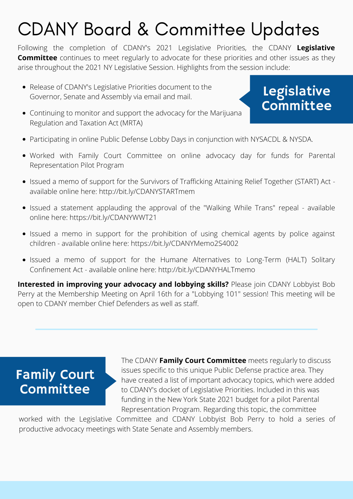Following the completion of CDANY's 2021 Legislative Priorities, the CDANY **Legislative Committee** continues to meet regularly to advocate for these priorities and other issues as they arise throughout the 2021 NY Legislative Session. Highlights from the session include:

Release of CDANY's Legislative Priorities document to the Governor, Senate and Assembly via email and mail.

## Legislative Committee

- Continuing to monitor and support the advocacy for the Marijuana Regulation and Taxation Act (MRTA)
- Participating in online Public Defense Lobby Days in conjunction with NYSACDL & NYSDA.
- Worked with Family Court Committee on online advocacy day for funds for Parental Representation Pilot Program
- Issued a memo of support for the Survivors of Trafficking Attaining Relief Together (START) Act available online here: http://bit.ly/CDANYSTARTmem
- Issued a statement applauding the approval of the "Walking While Trans" repeal available online here: https://bit.ly/CDANYWWT21
- Issued a memo in support for the prohibition of using chemical agents by police against children - available online here: https://bit.ly/CDANYMemo2S4002
- Issued a memo of support for the Humane Alternatives to Long-Term (HALT) Solitary Confinement Act - available online here: http://bit.ly/CDANYHALTmemo

**Interested in improving your advocacy and lobbying skills?** Please join CDANY Lobbyist Bob Perry at the Membership Meeting on April 16th for a "Lobbying 101" session! This meeting will be open to CDANY member Chief Defenders as well as staff.

### Family Court Committee

 The CDANY **Family Court Committee** meets regularly to discuss issues specific to this unique Public Defense practice area. They have created a list of important advocacy topics, which were added to CDANY's docket of Legislative Priorities. Included in this was funding in the New York State 2021 budget for a pilot Parental Representation Program. Regarding this topic, the committee

worked with the Legislative Committee and CDANY Lobbyist Bob Perry to hold a series of productive advocacy meetings with State Senate and Assembly members.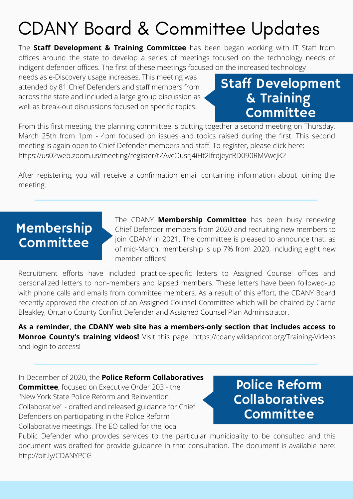The **Staff Development & Training Committee** has been began working with IT Staff from offices around the state to develop a series of meetings focused on the technology needs of indigent defender offices. The first of these meetings focused on the increased technology

needs as e-Discovery usage increases. This meeting was attended by 81 Chief Defenders and staff members from across the state and included a large group discussion as well as break-out discussions focused on specific topics.

### Staff Development & Training **Committee**

From this first meeting, the planning committee is putting together a second meeting on Thursday, March 25th from 1pm - 4pm focused on issues and topics raised during the first. This second meeting is again open to Chief Defender members and staff. To register, please click here: https://us02web.zoom.us/meeting/register/tZAvcOusrj4iHt2IfrdjeycRD090RMVwcjK2

After registering, you will receive a confirmation email containing information about joining the meeting.

### Membership Committee

The CDANY **Membership Committee** has been busy renewing Chief Defender members from 2020 and recruiting new members to join CDANY in 2021. The committee is pleased to announce that, as of mid-March, membership is up 7% from 2020, including eight new member offices!

Recruitment efforts have included practice-specific letters to Assigned Counsel offices and personalized letters to non-members and lapsed members. These letters have been followed-up with phone calls and emails from committee members. As a result of this effort, the CDANY Board recently approved the creation of an Assigned Counsel Committee which will be chaired by Carrie Bleakley, Ontario County Conflict Defender and Assigned Counsel Plan Administrator.

**As a reminder, the CDANY web site has a members-only section that includes access to Monroe County's training videos!** Visit this page: https://cdany.wildapricot.org/Training-Videos and login to access!

In December of 2020, the **Police Reform Collaboratives Committee**, focused on Executive Order 203 - the "New York State Police Reform and Reinvention Collaborative" - drafted and released guidance for Chief Defenders on participating in the Police Reform Collaborative meetings. The EO called for the local

### Police Reform Collaboratives **Committee**

Public Defender who provides services to the particular municipality to be consulted and this document was drafted for provide guidance in that consultation. The document is available here: http://bit.ly/CDANYPCG